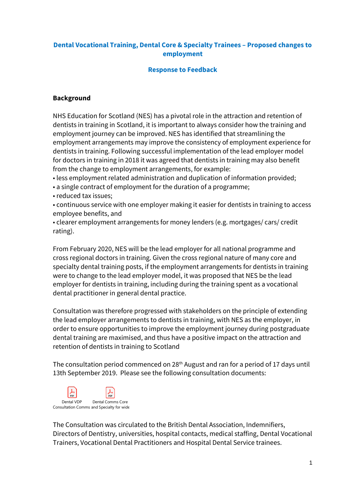### **Dental Vocational Training, Dental Core & Specialty Trainees – Proposed changes to employment**

#### **Response to Feedback**

### **Background**

NHS Education for Scotland (NES) has a pivotal role in the attraction and retention of dentists in training in Scotland, it is important to always consider how the training and employment journey can be improved. NES has identified that streamlining the employment arrangements may improve the consistency of employment experience for dentists in training. Following successful implementation of the lead employer model for doctors in training in 2018 it was agreed that dentists in training may also benefit from the change to employment arrangements, for example:

• less employment related administration and duplication of information provided;

• a single contract of employment for the duration of a programme;

• reduced tax issues;

• continuous service with one employer making it easier for dentists in training to access employee benefits, and

• clearer employment arrangements for money lenders (e.g. mortgages/ cars/ credit rating).

From February 2020, NES will be the lead employer for all national programme and cross regional doctors in training. Given the cross regional nature of many core and specialty dental training posts, if the employment arrangements for dentists in training were to change to the lead employer model, it was proposed that NES be the lead employer for dentists in training, including during the training spent as a vocational dental practitioner in general dental practice.

Consultation was therefore progressed with stakeholders on the principle of extending the lead employer arrangements to dentists in training, with NES as the employer, in order to ensure opportunities to improve the employment journey during postgraduate dental training are maximised, and thus have a positive impact on the attraction and retention of dentists in training to Scotland

The consultation period commenced on 28<sup>th</sup> August and ran for a period of 17 days until 13th September 2019. Please see the following consultation documents:



The Consultation was circulated to the British Dental Association, Indemnifiers, Directors of Dentistry, universities, hospital contacts, medical staffing, Dental Vocational Trainers, Vocational Dental Practitioners and Hospital Dental Service trainees.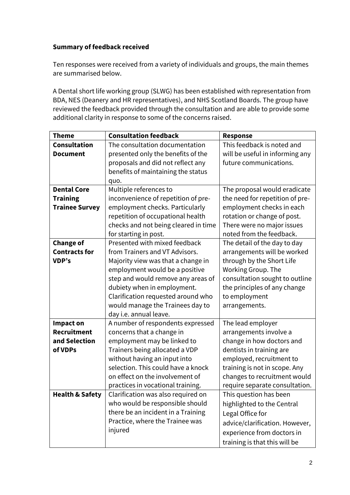# **Summary of feedback received**

Ten responses were received from a variety of individuals and groups, the main themes are summarised below.

A Dental short life working group (SLWG) has been established with representation from BDA, NES (Deanery and HR representatives), and NHS Scotland Boards. The group have reviewed the feedback provided through the consultation and are able to provide some additional clarity in response to some of the concerns raised.

| <b>Theme</b>               | <b>Consultation feedback</b>         | <b>Response</b>                 |
|----------------------------|--------------------------------------|---------------------------------|
| <b>Consultation</b>        | The consultation documentation       | This feedback is noted and      |
| <b>Document</b>            | presented only the benefits of the   | will be useful in informing any |
|                            | proposals and did not reflect any    | future communications.          |
|                            | benefits of maintaining the status   |                                 |
|                            | quo.                                 |                                 |
| <b>Dental Core</b>         | Multiple references to               | The proposal would eradicate    |
| <b>Training</b>            | inconvenience of repetition of pre-  | the need for repetition of pre- |
| <b>Trainee Survey</b>      | employment checks. Particularly      | employment checks in each       |
|                            | repetition of occupational health    | rotation or change of post.     |
|                            | checks and not being cleared in time | There were no major issues      |
|                            | for starting in post.                | noted from the feedback.        |
| <b>Change of</b>           | Presented with mixed feedback        | The detail of the day to day    |
| <b>Contracts for</b>       | from Trainers and VT Advisors.       | arrangements will be worked     |
| VDP's                      | Majority view was that a change in   | through by the Short Life       |
|                            | employment would be a positive       | Working Group. The              |
|                            | step and would remove any areas of   | consultation sought to outline  |
|                            | dubiety when in employment.          | the principles of any change    |
|                            | Clarification requested around who   | to employment                   |
|                            | would manage the Trainees day to     | arrangements.                   |
|                            | day i.e. annual leave.               |                                 |
| <b>Impact on</b>           | A number of respondents expressed    | The lead employer               |
| <b>Recruitment</b>         | concerns that a change in            | arrangements involve a          |
| and Selection              | employment may be linked to          | change in how doctors and       |
| of VDPs                    | Trainers being allocated a VDP       | dentists in training are        |
|                            | without having an input into         | employed, recruitment to        |
|                            | selection. This could have a knock   | training is not in scope. Any   |
|                            | on effect on the involvement of      | changes to recruitment would    |
|                            | practices in vocational training.    | require separate consultation.  |
| <b>Health &amp; Safety</b> | Clarification was also required on   | This question has been          |
|                            | who would be responsible should      | highlighted to the Central      |
|                            | there be an incident in a Training   | Legal Office for                |
|                            | Practice, where the Trainee was      | advice/clarification. However,  |
|                            | injured                              | experience from doctors in      |
|                            |                                      | training is that this will be   |